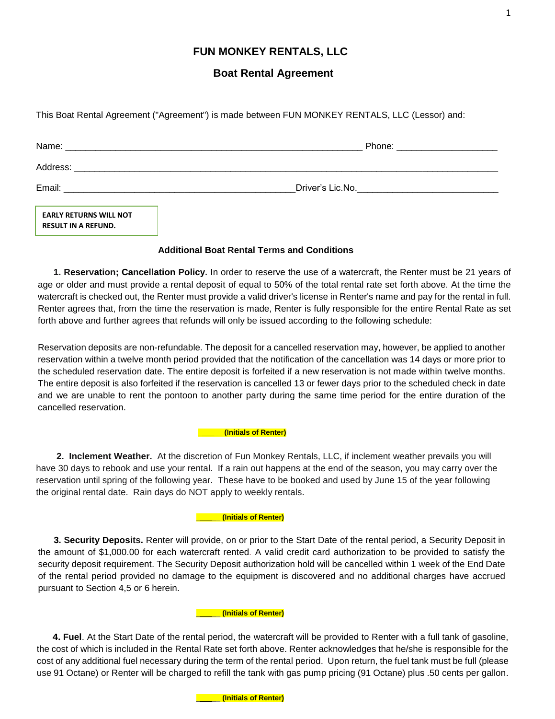# **FUN MONKEY RENTALS, LLC**

# **Boat Rental Agreement**

This Boat Rental Agreement ("Agreement") is made between FUN MONKEY RENTALS, LLC (Lessor) and:

| Name:    | Phone:           |
|----------|------------------|
| Address: |                  |
| Email:   | Driver's Lic.No. |

**EARLY RETURNS WILL NOT RESULT IN A REFUND.**

## **Additional Boat Rental Terms and Conditions**

**1. Reservation; Cancellation Policy.** In order to reserve the use of a watercraft, the Renter must be 21 years of age or older and must provide a rental deposit of equal to 50% of the total rental rate set forth above. At the time the watercraft is checked out, the Renter must provide a valid driver's license in Renter's name and pay for the rental in full. Renter agrees that, from the time the reservation is made, Renter is fully responsible for the entire Rental Rate as set forth above and further agrees that refunds will only be issued according to the following schedule:

Reservation deposits are non-refundable. The deposit for a cancelled reservation may, however, be applied to another reservation within a twelve month period provided that the notification of the cancellation was 14 days or more prior to the scheduled reservation date. The entire deposit is forfeited if a new reservation is not made within twelve months. The entire deposit is also forfeited if the reservation is cancelled 13 or fewer days prior to the scheduled check in date and we are unable to rent the pontoon to another party during the same time period for the entire duration of the cancelled reservation.

#### \_\_\_\_\_\_ **(Initials of Renter)**

**2. Inclement Weather.** At the discretion of Fun Monkey Rentals, LLC, if inclement weather prevails you will have 30 days to rebook and use your rental. If a rain out happens at the end of the season, you may carry over the reservation until spring of the following year. These have to be booked and used by June 15 of the year following the original rental date. Rain days do NOT apply to weekly rentals.

## \_\_\_\_\_\_ **(Initials of Renter)**

**3. Security Deposits.** Renter will provide, on or prior to the Start Date of the rental period, a Security Deposit in the amount of \$1,000.00 for each watercraft rented. A valid credit card authorization to be provided to satisfy the security deposit requirement. The Security Deposit authorization hold will be cancelled within 1 week of the End Date of the rental period provided no damage to the equipment is discovered and no additional charges have accrued pursuant to Section 4,5 or 6 herein.

## \_\_\_\_\_\_ **(Initials of Renter)**

**4. Fuel**. At the Start Date of the rental period, the watercraft will be provided to Renter with a full tank of gasoline, the cost of which is included in the Rental Rate set forth above. Renter acknowledges that he/she is responsible for the cost of any additional fuel necessary during the term of the rental period. Upon return, the fuel tank must be full (please use 91 Octane) or Renter will be charged to refill the tank with gas pump pricing (91 Octane) plus .50 cents per gallon.

1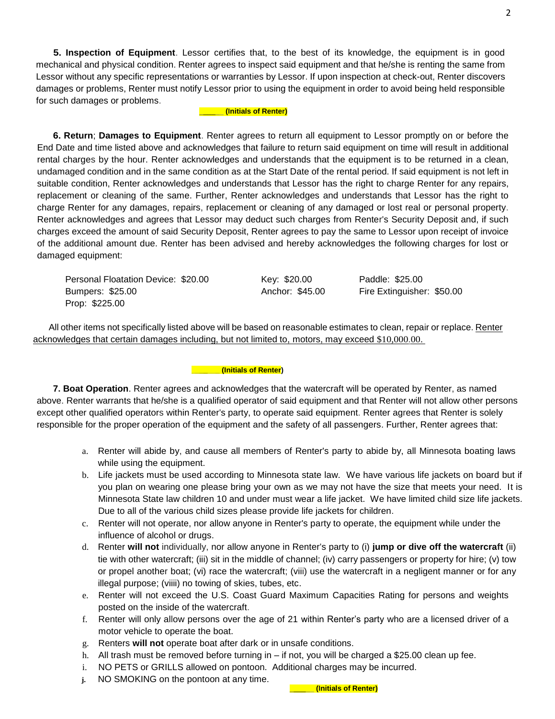**5. Inspection of Equipment**. Lessor certifies that, to the best of its knowledge, the equipment is in good mechanical and physical condition. Renter agrees to inspect said equipment and that he/she is renting the same from Lessor without any specific representations or warranties by Lessor. If upon inspection at check-out, Renter discovers damages or problems, Renter must notify Lessor prior to using the equipment in order to avoid being held responsible for such damages or problems.

### \_\_\_\_\_\_ **(Initials of Renter)**

**6. Return**; **Damages to Equipment**. Renter agrees to return all equipment to Lessor promptly on or before the End Date and time listed above and acknowledges that failure to return said equipment on time will result in additional rental charges by the hour. Renter acknowledges and understands that the equipment is to be returned in a clean, undamaged condition and in the same condition as at the Start Date of the rental period. If said equipment is not left in suitable condition, Renter acknowledges and understands that Lessor has the right to charge Renter for any repairs, replacement or cleaning of the same. Further, Renter acknowledges and understands that Lessor has the right to charge Renter for any damages, repairs, replacement or cleaning of any damaged or lost real or personal property. Renter acknowledges and agrees that Lessor may deduct such charges from Renter's Security Deposit and, if such charges exceed the amount of said Security Deposit, Renter agrees to pay the same to Lessor upon receipt of invoice of the additional amount due. Renter has been advised and hereby acknowledges the following charges for lost or damaged equipment:

Personal Floatation Device: \$20.00 Key: \$20.00 Paddle: \$25.00 Bumpers: \$25.00 Anchor: \$45.00 Fire Extinguisher: \$50.00 Prop: \$225.00

All other items not specifically listed above will be based on reasonable estimates to clean, repair or replace. Renter acknowledges that certain damages including, but not limited to, motors, may exceed \$10,000.00.

#### **\_\_\_\_\_\_\_ (Initials of Renter)**

**7. Boat Operation**. Renter agrees and acknowledges that the watercraft will be operated by Renter, as named above. Renter warrants that he/she is a qualified operator of said equipment and that Renter will not allow other persons except other qualified operators within Renter's party, to operate said equipment. Renter agrees that Renter is solely responsible for the proper operation of the equipment and the safety of all passengers. Further, Renter agrees that:

- a. Renter will abide by, and cause all members of Renter's party to abide by, all Minnesota boating laws while using the equipment.
- b. Life jackets must be used according to Minnesota state law. We have various life jackets on board but if you plan on wearing one please bring your own as we may not have the size that meets your need. It is Minnesota State law children 10 and under must wear a life jacket. We have limited child size life jackets. Due to all of the various child sizes please provide life jackets for children.
- c. Renter will not operate, nor allow anyone in Renter's party to operate, the equipment while under the influence of alcohol or drugs.
- d. Renter **will not** individually, nor allow anyone in Renter's party to (i) **jump or dive off the watercraft** (ii) tie with other watercraft; (iii) sit in the middle of channel; (iv) carry passengers or property for hire; (v) tow or propel another boat; (vi) race the watercraft; (viii) use the watercraft in a negligent manner or for any illegal purpose; (viiii) no towing of skies, tubes, etc.
- e. Renter will not exceed the U.S. Coast Guard Maximum Capacities Rating for persons and weights posted on the inside of the watercraft.
- f. Renter will only allow persons over the age of 21 within Renter's party who are a licensed driver of a motor vehicle to operate the boat.
- g. Renters **will not** operate boat after dark or in unsafe conditions.
- h. All trash must be removed before turning in if not, you will be charged a \$25.00 clean up fee.
- i. NO PETS or GRILLS allowed on pontoon. Additional charges may be incurred.
- **j.** NO SMOKING on the pontoon at any time.

\_\_\_\_\_\_ **(Initials of Renter)**